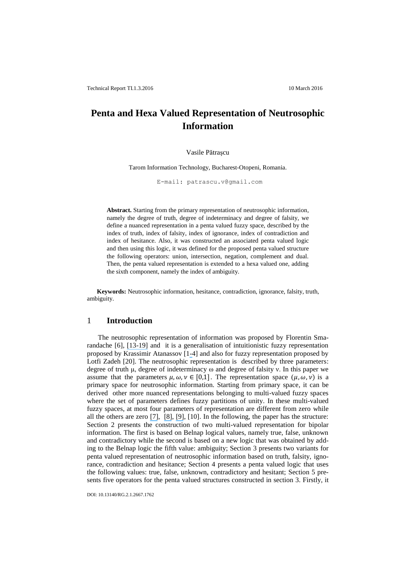# **Penta and Hexa Valued Representation of Neutrosophic Information**

#### Vasile Pătraşcu

Tarom Information Technology, Bucharest-Otopeni, Romania.

E-mail: patrascu.v@gmail.com

**Abstract.** Starting from the primary representation of neutrosophic information, namely the degree of truth, degree of indeterminacy and degree of falsity, we define a nuanced representation in a penta valued fuzzy space, described by the index of truth, index of falsity, index of ignorance, index of contradiction and index of hesitance. Also, it was constructed an associated penta valued logic and then using this logic, it was defined for the proposed penta valued structure the following operators: union, intersection, negation, complement and dual. Then, the penta valued representation is extended to a hexa valued one, adding the sixth component, namely the index of ambiguity.

**Keywords:** Neutrosophic information, hesitance, contradiction, ignorance, falsity, truth, ambiguity.

#### 1 **Introduction**

The neutrosophic representation of information was proposed by Florentin Smarandache [6], [\[13](https://www.researchgate.net/publication/222021984_Neutrosophic_logics_Prospects_and_problems?el=1_x_8&enrichId=rgreq-6c18a032-7abb-4f9e-b105-c9e03d5bed40&enrichSource=Y292ZXJQYWdlOzI5NzcxMzc2MTtBUzozNDA1MjQ2OTIxOTczODZAMTQ1ODE5ODgyMTcxMQ==)[-](https://www.researchgate.net/publication/265708178_A_unifying_field_in_logics_neutrosophic_logic_neutrosophy_neutrosophic_set_neutrosophic_probability_and_statistics_Chinese_version?el=1_x_8&enrichId=rgreq-6c18a032-7abb-4f9e-b105-c9e03d5bed40&enrichSource=Y292ZXJQYWdlOzI5NzcxMzc2MTtBUzozNDA1MjQ2OTIxOTczODZAMTQ1ODE5ODgyMTcxMQ==)[19\]](https://www.researchgate.net/publication/263699175_n-Valued_Refined_Neutrosophic_Logic_and_Its_Applications_to_Physics?el=1_x_8&enrichId=rgreq-6c18a032-7abb-4f9e-b105-c9e03d5bed40&enrichSource=Y292ZXJQYWdlOzI5NzcxMzc2MTtBUzozNDA1MjQ2OTIxOTczODZAMTQ1ODE5ODgyMTcxMQ==) and it is a generalisation of intuitionistic fuzzy representation proposed by Krassimir Atanassov [[1-](https://www.researchgate.net/publication/256992299_Intuitionistic_Fuzzy_Sets_Fuzzy_Sets_Syst?el=1_x_8&enrichId=rgreq-6c18a032-7abb-4f9e-b105-c9e03d5bed40&enrichSource=Y292ZXJQYWdlOzI5NzcxMzc2MTtBUzozNDA1MjQ2OTIxOTczODZAMTQ1ODE5ODgyMTcxMQ==)4] and also for fuzzy representation proposed by Lotfi Zadeh [20]. The neutrosophic representation is described by three parameters: degree of truth μ, degree of indeterminacy ω and degree of falsity ν. In this paper we assume that the parameters  $\mu$ ,  $\omega$ ,  $\nu \in [0,1]$ . The representation space  $(\mu, \omega, \nu)$  is a primary space for neutrosophic information. Starting from primary space, it can be derived other more nuanced representations belonging to multi-valued fuzzy spaces where the set of parameters defines fuzzy partitions of unity. In these multi-valued fuzzy spaces, at most four parameters of representation are different from zero while all the others are zero [\[7\]](https://www.researchgate.net/publication/268978623_Neutrosophic_information_in_the_framework_of_multivalued_representation?el=1_x_8&enrichId=rgreq-6c18a032-7abb-4f9e-b105-c9e03d5bed40&enrichSource=Y292ZXJQYWdlOzI5NzcxMzc2MTtBUzozNDA1MjQ2OTIxOTczODZAMTQ1ODE5ODgyMTcxMQ==), [\[8\]](https://www.researchgate.net/publication/265577558_Multi-Valued_Representation_of_Neutrosophic_Information?el=1_x_8&enrichId=rgreq-6c18a032-7abb-4f9e-b105-c9e03d5bed40&enrichSource=Y292ZXJQYWdlOzI5NzcxMzc2MTtBUzozNDA1MjQ2OTIxOTczODZAMTQ1ODE5ODgyMTcxMQ==), [\[9\]](https://www.researchgate.net/publication/265571409_Multi-Valued_Fuzzy_Spaces_for_Color_Representation?el=1_x_8&enrichId=rgreq-6c18a032-7abb-4f9e-b105-c9e03d5bed40&enrichSource=Y292ZXJQYWdlOzI5NzcxMzc2MTtBUzozNDA1MjQ2OTIxOTczODZAMTQ1ODE5ODgyMTcxMQ==), [10]. In the following, the paper has the structure: Section 2 presents the construction of two multi-valued representation for bipolar information. The first is based on Belnap logical values, namely true, false, unknown and contradictory while the second is based on a new logic that was obtained by adding to the Belnap logic the fifth value: ambiguity; Section 3 presents two variants for penta valued representation of neutrosophic information based on truth, falsity, ignorance, contradiction and hesitance; Section 4 presents a penta valued logic that uses the following values: true, false, unknown, contradictory and hesitant; Section 5 presents five operators for the penta valued structures constructed in section 3. Firstly, it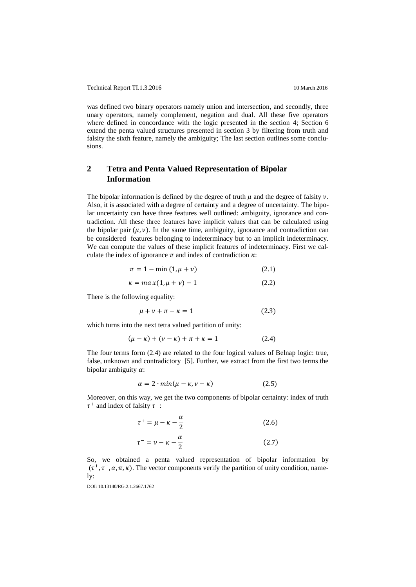was defined two binary operators namely union and intersection, and secondly, three unary operators, namely complement, negation and dual. All these five operators where defined in concordance with the logic presented in the section 4; Section 6 extend the penta valued structures presented in section 3 by filtering from truth and falsity the sixth feature, namely the ambiguity; The last section outlines some conclusions.

# **2 Tetra and Penta Valued Representation of Bipolar Information**

The bipolar information is defined by the degree of truth  $\mu$  and the degree of falsity  $\nu$ . Also, it is associated with a degree of certainty and a degree of uncertainty. The bipolar uncertainty can have three features well outlined: ambiguity, ignorance and contradiction. All these three features have implicit values that can be calculated using the bipolar pair  $(\mu, \nu)$ . In the same time, ambiguity, ignorance and contradiction can be considered features belonging to indeterminacy but to an implicit indeterminacy. We can compute the values of these implicit features of indeterminacy. First we calculate the index of ignorance  $\pi$  and index of contradiction  $\kappa$ :

$$
\pi = 1 - \min(1, \mu + \nu) \tag{2.1}
$$

$$
\kappa = ma\,x(1,\mu+\nu) - 1\tag{2.2}
$$

There is the following equality:

$$
\mu + \nu + \pi - \kappa = 1 \tag{2.3}
$$

which turns into the next tetra valued partition of unity:

$$
(\mu - \kappa) + (\nu - \kappa) + \pi + \kappa = 1 \tag{2.4}
$$

The four terms form (2.4) are related to the four logical values of Belnap logic: true, false, unknown and contradictory [5]. Further, we extract from the first two terms the bipolar ambiguity  $\alpha$ :

$$
\alpha = 2 \cdot \min(\mu - \kappa, \nu - \kappa) \tag{2.5}
$$

Moreover, on this way, we get the two components of bipolar certainty: index of truth  $\tau^+$  and index of falsity  $\tau^-$ :

$$
\tau^+ = \mu - \kappa - \frac{\alpha}{2} \tag{2.6}
$$
\n
$$
\tau^- = \nu \quad \nu \quad \alpha \tag{2.7}
$$

$$
\tau = \nu - \kappa - \frac{a}{2}
$$
 (2.7)  
So, we obtained a penta valued representation of bipolar information by

 $(\tau^+, \tau^-, \alpha, \pi, \kappa)$ . The vector components verify the partition of unity condition, namely: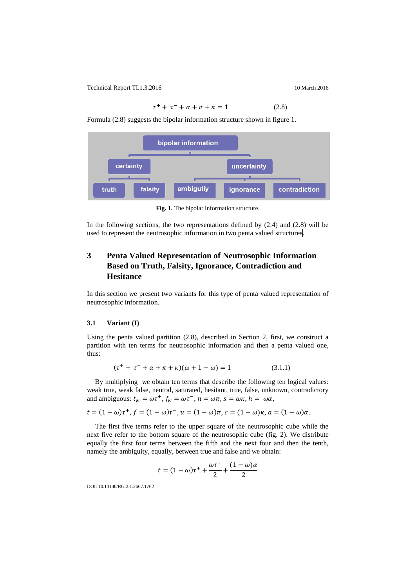$$
\tau^+ + \tau^- + \alpha + \pi + \kappa = 1 \tag{2.8}
$$

Formula (2.8) suggests the bipolar information structure shown in figure 1.



**Fig. 1.** The bipolar information structure.

In the following sections, the two representations defined by  $(2.4)$  and  $(2.8)$  will be used to represent the neutrosophic information in two penta valued structures.

# **3 Penta Valued Representation of Neutrosophic Information Based on Truth, Falsity, Ignorance, Contradiction and Hesitance**

In this section we present two variants for this type of penta valued representation of neutrosophic information.

#### **3.1 Variant (I)**

Using the penta valued partition (2.8), described in Section 2, first, we construct a partition with ten terms for neutrosophic information and then a penta valued one, thus:

$$
(\tau^{+} + \tau^{-} + \alpha + \pi + \kappa)(\omega + 1 - \omega) = 1
$$
 (3.1.1)

By multiplying we obtain ten terms that describe the following ten logical values: weak true, weak false, neutral, saturated, hesitant, true, false, unknown, contradictory and ambiguous:  $t_w = \omega \tau^+$ ,  $f_w = \omega \tau^-$ ,  $n = \omega \pi$ ,  $s = \omega \kappa$ ,  $h = \omega \alpha$ ,

 $t = (1 - \omega)\tau^+, f = (1 - \omega)\tau^-, u = (1 - \omega)\pi, c = (1 - \omega)\kappa, a = (1 - \omega)\alpha.$ 

The first five terms refer to the upper square of the neutrosophic cube while the next five refer to the bottom square of the neutrosophic cube (fig. 2). We distribute equally the first four terms between the fifth and the next four and then the tenth, namely the ambiguity, equally, between true and false and we obtain:

$$
t = (1 - \omega)\tau^+ + \frac{\omega\tau^+}{2} + \frac{(1 - \omega)\alpha}{2}
$$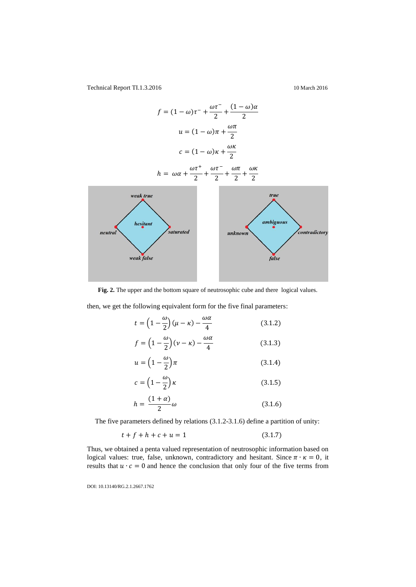

**Fig. 2.** The upper and the bottom square of neutrosophic cube and there logical values.

then, we get the following equivalent form for the five final parameters:

$$
t = \left(1 - \frac{\omega}{2}\right)(\mu - \kappa) - \frac{\omega \alpha}{4} \tag{3.1.2}
$$

$$
f = \left(1 - \frac{\omega}{2}\right)(\nu - \kappa) - \frac{\omega \alpha}{4} \tag{3.1.3}
$$

$$
u = \left(1 - \frac{\omega}{2}\right)\pi\tag{3.1.4}
$$

$$
c = \left(1 - \frac{\omega}{2}\right)\kappa\tag{3.1.5}
$$

$$
h = \frac{(1+\alpha)}{2}\omega\tag{3.1.6}
$$

The five parameters defined by relations (3.1.2-3.1.6) define a partition of unity:

$$
t + f + h + c + u = 1 \tag{3.1.7}
$$

Thus, we obtained a penta valued representation of neutrosophic information based on logical values: true, false, unknown, contradictory and hesitant. Since  $\pi \cdot \kappa = 0$ , it results that  $u \cdot c = 0$  and hence the conclusion that only four of the five terms from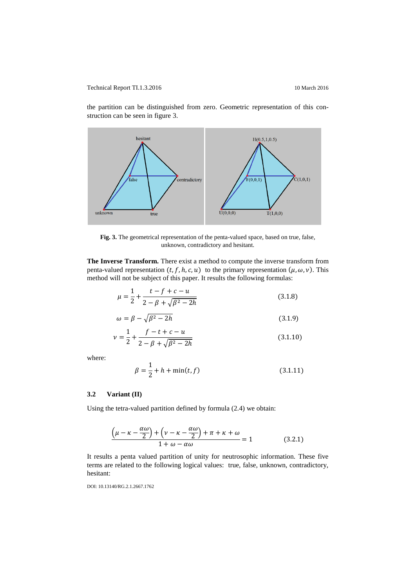the partition can be distinguished from zero. Geometric representation of this construction can be seen in figure 3.



**Fig. 3.** The geometrical representation of the penta-valued space, based on true, false, unknown, contradictory and hesitant.

**The Inverse Transform.** There exist a method to compute the inverse transform from penta-valued representation  $(t, f, h, c, u)$  to the primary representation  $(\mu, \omega, v)$ . This method will not be subject of this paper. It results the following formulas:

$$
\mu = \frac{1}{2} + \frac{t - f + c - u}{2 - \beta + \sqrt{\beta^2 - 2h}}\tag{3.1.8}
$$

$$
\omega = \beta - \sqrt{\beta^2 - 2h} \tag{3.1.9}
$$

$$
\nu = \frac{1}{2} + \frac{f - t + c - u}{2 - \beta + \sqrt{\beta^2 - 2h}}
$$
\n(3.1.10)

where:

$$
\beta = \frac{1}{2} + h + \min(t, f) \tag{3.1.11}
$$

### **3.2 Variant (II)**

Using the tetra-valued partition defined by formula (2.4) we obtain:

$$
\frac{(\mu - \kappa - \frac{\alpha \omega}{2}) + (\nu - \kappa - \frac{\alpha \omega}{2}) + \pi + \kappa + \omega}{1 + \omega - \alpha \omega} = 1
$$
 (3.2.1)

It results a penta valued partition of unity for neutrosophic information. These five terms are related to the following logical values: true, false, unknown, contradictory, hesitant: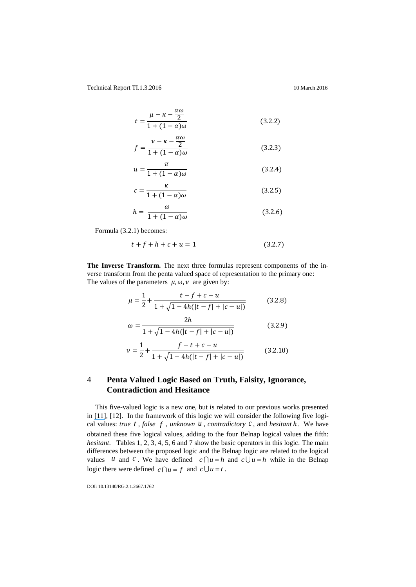$$
t = \frac{\mu - \kappa - \frac{\alpha \omega}{2}}{1 + (1 - \alpha)\omega} \tag{3.2.2}
$$

$$
f = \frac{\nu - \kappa - \frac{\omega \omega}{2}}{1 + (1 - \alpha)\omega} \tag{3.2.3}
$$

 $\alpha$ <sup> $\alpha$ </sup>

$$
u = \frac{\pi}{1 + (1 - \alpha)\omega} \tag{3.2.4}
$$

$$
c = \frac{\kappa}{1 + (1 - \alpha)\omega} \tag{3.2.5}
$$

$$
h = \frac{\omega}{1 + (1 - \alpha)\omega} \tag{3.2.6}
$$

Formula (3.2.1) becomes:

$$
t + f + h + c + u = 1 \tag{3.2.7}
$$

**The Inverse Transform.** The next three formulas represent components of the inverse transform from the penta valued space of representation to the primary one: The values of the parameters  $\mu$ ,  $\omega$ ,  $\nu$  are given by:

$$
\mu = \frac{1}{2} + \frac{t - f + c - u}{1 + \sqrt{1 - 4h(|t - f| + |c - u|)}}\tag{3.2.8}
$$

$$
\omega = \frac{2h}{1 + \sqrt{1 - 4h(|t - f| + |c - u|)}}\tag{3.2.9}
$$

$$
\nu = \frac{1}{2} + \frac{f - t + c - u}{1 + \sqrt{1 - 4h(|t - f| + |c - u|)}}\tag{3.2.10}
$$

# 4 **Penta Valued Logic Based on Truth, Falsity, Ignorance, Contradiction and Hesitance**

This five-valued logic is a new one, but is related to our previous works presented in [\[11\]](https://www.researchgate.net/publication/241328073_A_New_Penta-valued_Logic_Based_Knowledge_Representation?el=1_x_8&enrichId=rgreq-6c18a032-7abb-4f9e-b105-c9e03d5bed40&enrichSource=Y292ZXJQYWdlOzI5NzcxMzc2MTtBUzozNDA1MjQ2OTIxOTczODZAMTQ1ODE5ODgyMTcxMQ==), [12]. In the framework of this logic we will consider the following five logical values: *true t*, *false f*, *unknown*  $\overline{u}$ , *contradictory*  $c$ , and *hesitant*  $\overline{h}$ . We have obtained these five logical values, adding to the four Belnap logical values the fifth: *hesitant*. Tables 1, 2, 3, 4, 5, 6 and 7 show the basic operators in this logic. The main differences between the proposed logic and the Belnap logic are related to the logical values *u* and *c*. We have defined  $c \bigcap u = h$  and  $c \bigcup u = h$  while in the Belnap logic there were defined  $c \bigcap u = f$  and  $c \bigcup u = t$ .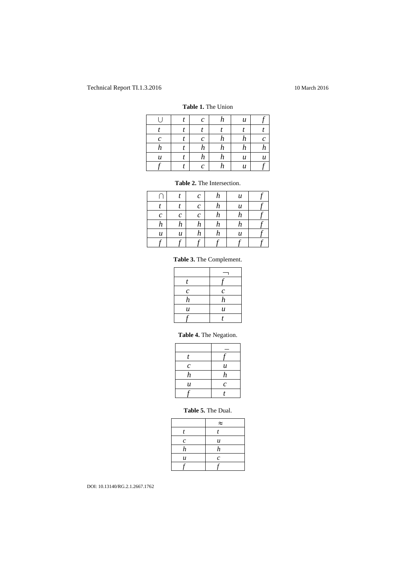#### **Table 1.** The Union

|                  | $\mathcal C$     | h                | $\boldsymbol{u}$ |   |
|------------------|------------------|------------------|------------------|---|
|                  |                  |                  |                  |   |
| $\mathcal C$     | $\mathcal C$     | $\boldsymbol{h}$ | $\boldsymbol{h}$ | с |
| $\boldsymbol{h}$ | $\boldsymbol{h}$ | $\boldsymbol{h}$ | $\boldsymbol{h}$ | n |
| $\boldsymbol{u}$ | h                | $\boldsymbol{h}$ | $\boldsymbol{u}$ | u |
|                  | $\mathcal C$     | h                | u                |   |

#### **Table 2.** The Intersection.

|                  |   | c | h | $\boldsymbol{u}$ |  |
|------------------|---|---|---|------------------|--|
|                  |   | с | h | $\boldsymbol{u}$ |  |
| $\mathcal C$     | c | с | h | h                |  |
| h                | h | h | h | h                |  |
| $\boldsymbol{u}$ | u | h | h | $\boldsymbol{u}$ |  |
|                  |   |   |   |                  |  |

# **Table 3.** The Complement.

| t                |                  |
|------------------|------------------|
| $\mathcal{C}$    | $\mathcal{C}$    |
| $\boldsymbol{h}$ | $\boldsymbol{h}$ |
| $\boldsymbol{u}$ | $\boldsymbol{u}$ |
|                  | T                |

# **Table 4.** The Negation.

| t                |                  |
|------------------|------------------|
| $\mathcal{C}$    | $\boldsymbol{u}$ |
| $\boldsymbol{h}$ | $\boldsymbol{h}$ |
| $\boldsymbol{u}$ | $\mathcal{C}$    |
|                  |                  |

## **Table 5.** The Dual.

|                       | $\approx$        |
|-----------------------|------------------|
|                       |                  |
| $\mathcal{C}_{0}^{2}$ | $\boldsymbol{u}$ |
| $\boldsymbol{h}$      | h                |
| $\boldsymbol{u}$      | $\mathcal{C}$    |
|                       |                  |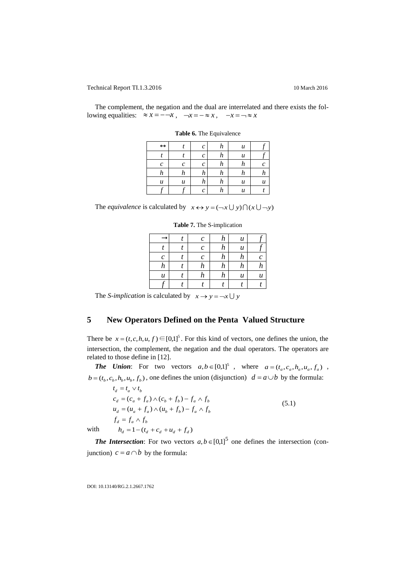The complement, the negation and the dual are interrelated and there exists the following equalities:  $\approx x = -\sqrt{x}$ ,  $\sim x = -\approx x$ ,  $\sim x = -\approx x$ 

| $\boldsymbol{u}$ |
|------------------|
|                  |
|                  |

**Table 6.** The Equivalence

The *equivalence* is calculated by  $x \leftrightarrow y = (\neg x \cup y) \cap (x \cup \neg y)$ 

|                  | $\mathcal C$ | h | $\boldsymbol{u}$ |                  |
|------------------|--------------|---|------------------|------------------|
|                  | $\mathcal C$ | h | $\boldsymbol{u}$ |                  |
| $\mathfrak c$    | $\mathcal C$ | h | h                |                  |
| h                | h            | h | h                | h                |
| $\boldsymbol{u}$ | h            | h | $\boldsymbol{u}$ | $\boldsymbol{u}$ |
|                  |              |   |                  |                  |

**Table 7.** The S-implication

The *S*-implication is calculated by  $x \rightarrow y = -x \cup y$ 

# **5 New Operators Defined on the Penta Valued Structure**

There be  $x = (t, c, h, u, f) \in [0,1]^5$ . For this kind of vectors, one defines the union, the intersection, the complement, the negation and the dual operators. The operators are related to those define in [12].

*The Union***:** For two vectors  $a, b \in [0,1]^5$ , where  $a = (t_a, c_a, h_a, u_a, f_a)$ ,  $b = (t_b, c_b, h_b, u_b, f_b)$ , one defines the union (disjunction)  $d = a \cup b$  by the formula:

 $f_d = f_a \wedge f_b$  $u_d = (u_a + f_a) \wedge (u_b + f_b) - f_a \wedge f_b$  $c_d = (c_a + f_a) \wedge (c_b + f_b) - f_a \wedge f_b$  $t_d = t_a \vee t_b$  $(5.1)$  $h_d = 1 - (t_d + c_d + u_d + f_d)$ 

with

**The Intersection:** For two vectors  $a, b \in [0,1]^5$  one defines the intersection (conjunction)  $c = a \cap b$  by the formula: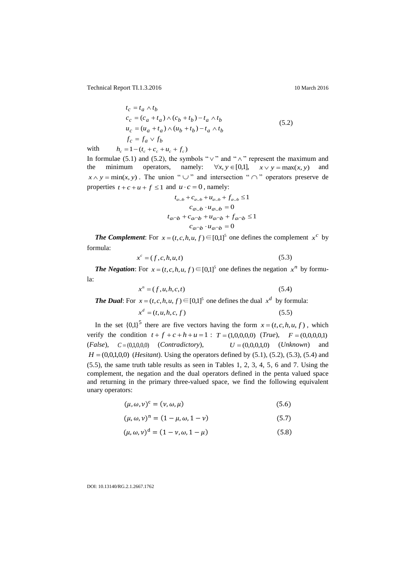Technical Report TI.1.3.2016

$$
t_c = t_a \wedge t_b
$$
  
\n
$$
c_c = (c_a + t_a) \wedge (c_b + t_b) - t_a \wedge t_b
$$
  
\n
$$
u_c = (u_a + t_a) \wedge (u_b + t_b) - t_a \wedge t_b
$$
  
\n
$$
f_c = f_a \vee f_b
$$
\n(5.2)

with  $h_c = 1 - (t_c + c_c + u_c + f_c)$ 

In formulae (5.1) and (5.2), the symbols " $\vee$ " and " $\wedge$ " represent the maximum and the minimum operators, namely:  $\forall x, y \in [0,1], \quad x \lor y = \max(x, y)$  and  $x \wedge y = \min(x, y)$ . The union "  $\cup$  " and intersection "  $\cap$  " operators preserve de properties  $t + c + u + f \le 1$  and  $u \cdot c = 0$ , namely:

$$
t_{a\cup b} + c_{a\cup b} + u_{a\cup b} + f_{a\cup b} \le 1
$$
  

$$
c_{a\cup b} \cdot u_{a\cup b} = 0
$$
  

$$
t_{a\cap b} + c_{a\cap b} + u_{a\cap b} + f_{a\cap b} \le 1
$$
  

$$
c_{a\cap b} \cdot u_{a\cap b} = 0
$$

*The Complement*: For  $x = (t, c, h, u, f) \in [0,1]^5$  one defines the complement  $x^c$  by formula:

$$
x^c = (f, c, h, u, t) \tag{5.3}
$$

*The Negation*: For  $x = (t, c, h, u, f) \in [0,1]^5$  one defines the negation  $x^n$  by formula:

$$
x^n = (f, u, h, c, t) \tag{5.4}
$$

*The Dual*: For  $x = (t, c, h, u, f) \in [0,1]^5$  one defines the dual  $x^d$  by formula:

$$
x^d = (t, u, h, c, f) \tag{5.5}
$$

In the set  ${0,1}^5$  there are five vectors having the form  $x = (t, c, h, u, f)$ , which verify the condition  $t + f + c + h + u = 1$ :  $T = (1,0,0,0,0)$  (*True*),  $F = (0,0,0,0,1)$ (*False*), *C* (0,1,0,0,0) (*Contradictory*),  $U = (0,0,0,1,0)$  (*Unknown*) and  $H = (0,0,1,0,0)$  (*Hesitant*). Using the operators defined by  $(5.1)$ ,  $(5.2)$ ,  $(5.3)$ ,  $(5.4)$  and (5.5), the same truth table results as seen in Tables 1, 2, 3, 4, 5, 6 and 7. Using the complement, the negation and the dual operators defined in the penta valued space and returning in the primary three-valued space, we find the following equivalent unary operators:

$$
(\mu, \omega, \nu)^c = (\nu, \omega, \mu) \tag{5.6}
$$

$$
(\mu, \omega, \nu)^n = (1 - \mu, \omega, 1 - \nu) \tag{5.7}
$$

$$
(\mu, \omega, \nu)^d = (1 - \nu, \omega, 1 - \mu)
$$
 (5.8)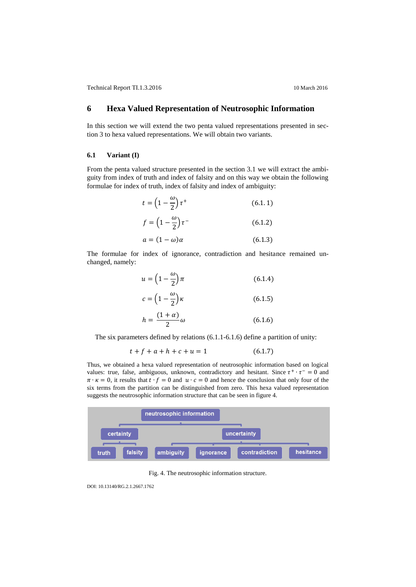# **6 Hexa Valued Representation of Neutrosophic Information**

In this section we will extend the two penta valued representations presented in section 3 to hexa valued representations. We will obtain two variants.

#### **6.1 Variant (I)**

From the penta valued structure presented in the section 3.1 we will extract the ambiguity from index of truth and index of falsity and on this way we obtain the following formulae for index of truth, index of falsity and index of ambiguity:

$$
t = \left(1 - \frac{\omega}{2}\right)\tau^+\tag{6.1.1}
$$

$$
f = \left(1 - \frac{\omega}{2}\right)\tau^{-}
$$
 (6.1.2)

$$
a = (1 - \omega)\alpha \tag{6.1.3}
$$

The formulae for index of ignorance, contradiction and hesitance remained unchanged, namely:

$$
u = \left(1 - \frac{\omega}{2}\right)\pi\tag{6.1.4}
$$

$$
c = \left(1 - \frac{\omega}{2}\right)\kappa\tag{6.1.5}
$$

$$
h = \frac{(1+\alpha)}{2}\omega\tag{6.1.6}
$$

The six parameters defined by relations (6.1.1-6.1.6) define a partition of unity:

$$
t + f + a + h + c + u = 1 \tag{6.1.7}
$$

Thus, we obtained a hexa valued representation of neutrosophic information based on logical values: true, false, ambiguous, unknown, contradictory and hesitant. Since  $\tau^+ \cdot \tau^- = 0$  and  $\pi \cdot \kappa = 0$ , it results that  $t \cdot f = 0$  and  $u \cdot c = 0$  and hence the conclusion that only four of the six terms from the partition can be distinguished from zero. This hexa valued representation suggests the neutrosophic information structure that can be seen in figure 4.



Fig. 4. The neutrosophic information structure.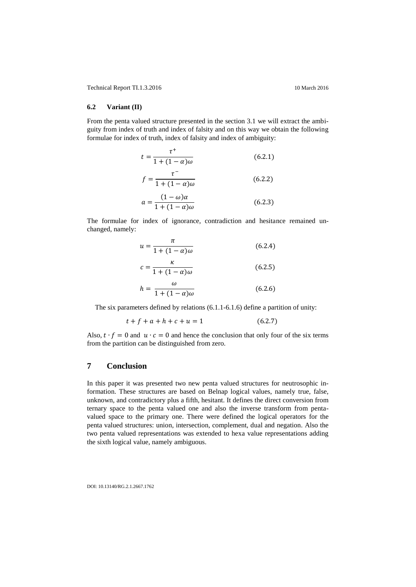#### **6.2 Variant (II)**

From the penta valued structure presented in the section 3.1 we will extract the ambiguity from index of truth and index of falsity and on this way we obtain the following formulae for index of truth, index of falsity and index of ambiguity:

$$
t = \frac{\tau^+}{1 + (1 - \alpha)\omega} \tag{6.2.1}
$$

$$
f = \frac{\tau^{-}}{1 + (1 - \alpha)\omega} \tag{6.2.2}
$$

$$
a = \frac{(1 - \omega)\alpha}{1 + (1 - \alpha)\omega} \tag{6.2.3}
$$

The formulae for index of ignorance, contradiction and hesitance remained unchanged, namely:

$$
u = \frac{\pi}{1 + (1 - \alpha)\omega} \tag{6.2.4}
$$

$$
c = \frac{\kappa}{1 + (1 - \alpha)\omega} \tag{6.2.5}
$$

$$
h = \frac{\omega}{1 + (1 - \alpha)\omega} \tag{6.2.6}
$$

The six parameters defined by relations (6.1.1-6.1.6) define a partition of unity:

$$
t + f + a + h + c + u = 1 \tag{6.2.7}
$$

Also,  $t \cdot f = 0$  and  $u \cdot c = 0$  and hence the conclusion that only four of the six terms from the partition can be distinguished from zero.

# **7 Conclusion**

In this paper it was presented two new penta valued structures for neutrosophic information. These structures are based on Belnap logical values, namely true, false, unknown, and contradictory plus a fifth, hesitant. It defines the direct conversion from ternary space to the penta valued one and also the inverse transform from pentavalued space to the primary one. There were defined the logical operators for the penta valued structures: union, intersection, complement, dual and negation. Also the two penta valued representations was extended to hexa value representations adding the sixth logical value, namely ambiguous.